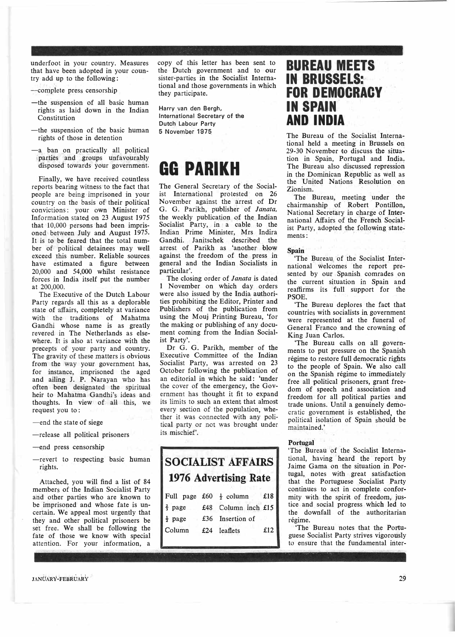underfoot in your country. Measures that have been adopted in your country add up to the following :

- �complete press censorship
- -the suspension of all basic human rights as laid down in the Indian Constitution
- -the suspension of the basic human rights of those in detention
- -a ban on practically all political parties and groups unfavourably disposed towards your government.

Finally, we have received countless reports bearing witness to the fact that people are being imprisoned in your country on the basis of their political convictions: your own Minister of Information stated on 23 August 1975 that 10,000 persons had been imprisoned between July and August 1975. It is to be feared that the total number of political detainees may well exceed this number. Reliable sources have estimated a figure between 20,000 and 54,000 whilst resistance forces in India itself put the number at 200,000.

The Executive of the Dutch Labour Party regards all this as a deplorable state of affairs, completely at variance with the traditions of Mahatma Gandhi whose name is as greatly revered in The Netherlands as elsewhere. It is also at variance with the precepts of your party and country. The gravity of these matters is obvious from the way your government has, for instance, imprisoned the aged and ailing J. P. Narayan who has often been designated the spiritual heir to Mahatma Gandhi's ideas and thoughts. In view of aH this, we request you to:

- -end the state of siege
- -release all politicaI prisoners
- -end press censorship
- -revert to respecting basic human rights.

Attached, you will find a list of 84 members of the Indian Socialist Party and other parties who are known to be imprisoned and whose fate is uncertain. We appeal most urgently that they and other political prisoners be set free. We shall be following the fate of those we know with special attention. For your information, a

copy of this letter has been sent to the Dutch government and to our sister-parties in the Socialist International and those governments in which they participate.

Harry van den Bergh, International Secretary of the Dutch Labour Party 5 November 1975

## **GG PARIKH**

The General Secretary of the Socialist International protested on 26 November against the arrest of Dr G. G. Parikh, publisher of *Janata,* the weekly publication of the Indian Socialist Party, in a cable to the Indian Prime Minister, Mrs Indira Gandhi. Janitschek described the arrest of Parikh as 'another blow against the freedom of the press in general and the Indian Socialists in particular'.

The closing order of *Janata* is dated 1 November on which day orders were also issued by the India authorities prohibiting the Editor, Printer and Publishers of the publication from using the Mouj Printing Bureau, 'for the making or publishing of any document coming from the Indian Socialist Party'.

Dr G. G. Parikh, member of the Executive Committee of the Indian Socialist Party, was arrested on 23 October following the publication of an editorial in which he said: 'under the cover of the emergency, the Government has thought it fit to expand its limits to such an extent that almost every section of the population, whether it was connected with any political party or not was brought under its mischief'.

## **SOCiALIST AFFAIRS 1976 Advertising Rate**  Full page  $f60 \neq \text{column}$   $f18$

| $1 \, \text{cm}$ page $200 \, \text{cm}$ |                     | .   |
|------------------------------------------|---------------------|-----|
| $\frac{2}{3}$ page                       | £48 Column inch £15 |     |
| $\frac{1}{2}$ page                       | £36 Insertion of    |     |
| Column                                   | £24 leaflets        | £12 |

### **BUREAU MEETS IN BRUSSELS: FOR DEMOCRACY IN SPAIN AND INDIA**

The Bureau of the Socialist International held a meeting in Brussels on 29-30 November to discuss the situation in Spain, Portugal and India, The Bureau also discussed repression in the Dominican Republic as well as the United Nations Resolution on Zionism.

The Bureau, meeting under the chairmanship of Robert Pontilfon, National Secretary in charge of International Affairs of the French Socialist Party, adopted the following statements:

#### **Spain**

'The Bureau of the Socialist International welcomes the report presented by our Spanish comrades on the current situation in Spain and reaffirms its full support for the PSOE.

'The Bureau deplores the fact that countries with socialists in government were represented at the funeral of General Franco. and the crowning of King Juan Carlos.

'The Bureau calls on all governments to put pressure on the Spanish régime to restore full democratic rights to the people of Spain. We also call on the Spanish régime to immediately free all political prisoners, grant freedom of speech and association and freedom for all political parties and trade unions. Until a genuinely democratic government is established, the political isolation of Spain should be maintained.'

#### **Portugal·**

'The Bureau of the Socialist International, having heard the report by Jaime Gama on the situation in Portugal, notes with great satisfaction that the Portuguese Socialist Party continues to act in complete. conformity with the spirit of freedom, justice and social progress which led to the downfall of the authoritarian régime.

The Bureau notes that the Portuguese Socialist Party strives vigorously to ensure that the fundamental inter